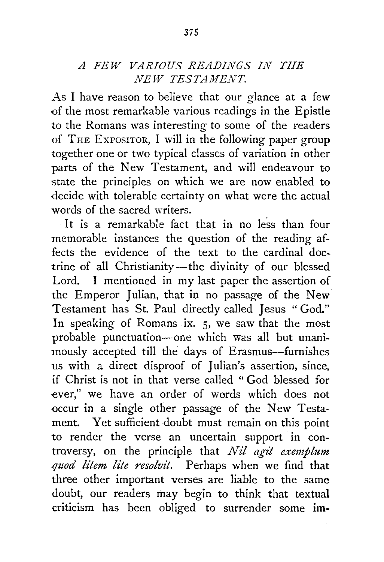## *A FEW VARIOUS READINGS IN THE NEW TESTAMENT.*

As I have reason to believe that our glance at a few of the most remarkable various readings in the Epistle to the Romans was interesting to some of the readers of THE ExPOSITOR, I will in the following paper group together one or two typical classes of variation in other parts of the New Testament, and will endeavour to state the principles on which we are now enabled to decide with tolerable certainty on what were the actual words of the sacred writers.

It is a remarkable fact that in no less than four memorable instances the question of the reading affects the evidence of the text to the cardinal doctrine of all Christianity-the divinity of our blessed Lord. I mentioned in my last paper the assertion of the Emperor Julian, that in no passage of the New Testament has St. Paul directly called Jesus "God." In speaking of Romans ix. 5, we saw that the most probable punctuation-one which was all but unanimously accepted till the days of Erasmus-furnishes us with a direct disproof of Julian's assertion, since, if Christ is not in that verse called " God blessed for ever," we have an order of words which does not occur in a single other passage of the New Testament. Yet sufficient doubt must remain on this point to render the verse an uncertain support in controversy, on the principle that *Nil agit exemplum .quod litem lite resolvit.* Perhaps when we find that three other important verses are liable to the same doubt, our readers may begin to think that textual criticism has been obliged to surrender some im.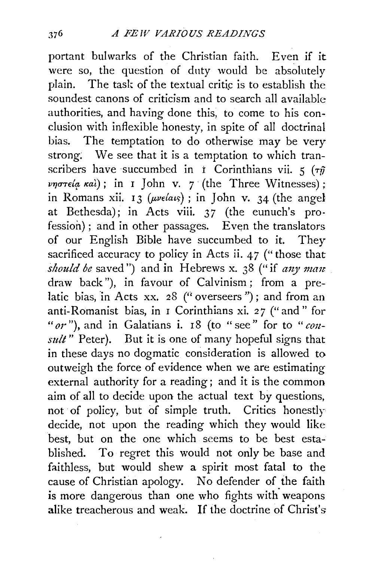portant bulwarks of the Christian faith. Even if it were so, the question of duty would be absolutely plain. The task of the textual critic is to establish the soundest canons of criticism and to search all available authorities, and having done this, to come to his conclusion with inflexible honesty, in spite of all doctrinal bias. The temptation to do otherwise may be very strong; We see that it is a temptation to which transcribers have succumbed in *i* Corinthians vii.  $5 \left( \tau \hat{\eta} \right)$ *vηστεία καὶ*); in I John v. 7 (the Three Witnesses); in Romans xii. 13  $(\mu\nu \epsilon / a \epsilon)$ ; in John v. 34 (the angel at Bethesda); in Acts viii. 37 (the eunuch's pro·  $fession$ ; and in other passages. Even the translators of our English Bible have succumbed to it. They sacrificed accuracy to policy in Acts ii. 47 ("those that *should be* saved") and in Hebrews x. 38 ("if *any man* draw back"), in favour of Calvinism; from a prelatic bias, in Acts xx. 28 ("overseers"); and from an anti-Romanist bias, in I Corinthians xi. *27* ("and" for "or"), and in Galatians i. 18 (to "see" for to "con*sult*" Peter). But it is one of many hopeful signs that in these days no dogmatic consideration is allowed to outweigh the force of evidence when we are estimating external authority for a reading; and it is the common aim of all to decide upon the actual text by questions, not of policy, but of simple truth. Critics honestlr decide, not upon the reading which they would like best, but on the one which seems to be best established. To regret this would not only be base and faithless, but would shew a spirit most fatal to the cause of Christian apology. No defender of the faith is more dangerous than one who fights with weapons alike treacherous and weak. If the doctrine of Christ's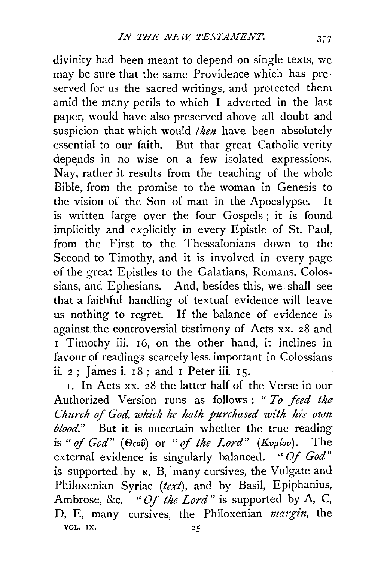divinity had been meant to depend on single texts, we may be sure that the same Providence which has preserved for us the sacred writings, and protected them amid the many perils to which I adverted in the last paper, would have also preserved above all doubt and suspicion that which would *then* have been absolutely essential to our faith. But that great Catholic verity depends in no wise on a few isolated expressions. Nay, rather it results from the teaching of the whole Bible, from the promise to the woman in Genesis to the vision of the Son of man in the Apocalypse. It is written large over the four Gospels ; it is found implicitly and explicitly in every Epistle of St. Paul, from the First to the Thessalonians down to the Second to Timothy, and it is involved in every page of the great Epistles to the Galatians, Romans, Colossians, and Ephesians. And, besides this, we shall see that a faithful handling of textual evidence will leave us nothing to regret. If the balance of evidence is against the controversial testimony of Acts xx. 28 and <sup>I</sup>Timothy iii. 16, on the other hand, it inclines in favour of readings scarcely less important in Colossians ii.  $2$ : James i.  $18$ : and I Peter iii.  $15$ .

1. In Acts xx. 28 the latter half of the Verse in our Authorized Version runs as follows : " *To feed the Church of God, which he hath purchased with his own blood."* But it is uncertain whether the true reading is " of God" (Θεού) or " of the Lord" (Κυρίου). The external evidence is singularly balanced. *"Of God"*  is supported by  $x$ , B, many cursives, the Vulgate and Philoxenian Syriac *(text),* and by Basil, Epiphanius, Ambrose, &c. *"Of the Lord"* is supported by A, C, D, E, many cursives, the Philoxenian *margin*, the VOL. IX.  $25$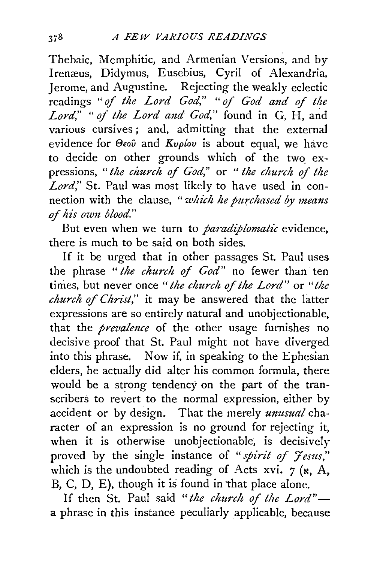Thebaic, Memphitic, and Armenian Versions, and by Irenæus, Didymus, Eusebius, Cyril of Alexandria, Jerome, and Augustine. Rejecting the weakly eclectic readings *"of the Lord God," "of God and of the Lord," "of the Lord and God,"* found in G, H, and various cursives; and, admitting that the external evidence for *C9Eou* and *Kvplov* is about equal, we have to decide on other grounds which of the two expressions, *"the church of God,"* or " *the church of the Lord,"* St. Paul was most likely to have used in connection with the clause, *"which he jmrchased* by *means*  of his own blood."

But even when we turn to *paradiplomatic* evidence, there is much to be said on both sides.

If it be urged that in other passages St. Paul uses the phrase *"the church of God"* no fewer than ten times, but never once *"the church of the Lord"* or *"the church of Christ,"* it may be answered that the latter expressions are so entirely natural and unobjectionable, that the *prevalence* of the other usage furnishes no decisive proof that St. Paul might not have diverged into this phrase. Now if, in speaking to the Ephesian elders, he actually did alter his common formula, there would be a strong tendency on the part of the transcribers to revert to the normal expression, either by accident or by design. That the merely *unusual* character of an expression is no ground for rejecting it, when it is otherwise unobjectionable, is decisively proved by the single instance of " *spirit of 7 esus,"*  which is the undoubted reading of Acts xvi.  $7$  ( $\kappa$ , A, B, C, D, E), though it is found in that place alone.

If then St. Paul said "the church of the Lord"a phrase in this instance peculiarly applicable, because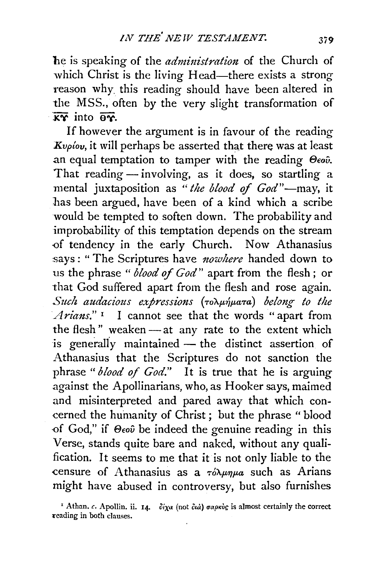he is speaking of the *administration* of the Church of which Christ is the living Head-there exists a strong reason why. this reading should have been altered in the MSS., often by the very slight transformation of  $\overline{XY}$  into  $\overline{XY}$ .

If however the argument is in favour of the reading *Kvpiov*, it will perhaps be asserted that there was at least an equal temptation to tamper with the reading  $\Theta$ *cov*. That reading - involving, as it does, so startling a mental juxtaposition as *"the blood* of *God"-may,* it has been argued, have been of a kind which a scribe would be tempted to soften down. The probability and improbability of this temptation depends on the stream of tendency in the early Church. Now Athanasius says: "The Scriptures have *nowhere* handed down to us the phrase " *blood* of *God"* apart from the flesh ; or that God suffered apart from the flesh and rose again. Such audacious expressions ( $\tau$ <sub>O</sub>) *a belong to the Arians."* 1 I cannot see that the words "apart from the flesh" weaken- at any rate to the extent which is generally maintained  $-$  the distinct assertion of Athanasius that the Scriptures do not sanction the phrase "*blood of God.*" It is true that he is arguing against the Apollinarians, who, as Hooker says, maimed and misinterpreted and pared away that which concerned the hurnanity of Christ ; but the phrase " blood ·of God," if *8eov* be indeed the genuine reading in this Verse, stands quite bare and naked, without any qualification. It seems to me that it is not only liable to the censure of Athanasius as a  $\tau \delta \lambda \mu \eta \mu a$  such as Arians might have abused in controversy, but also furnishes

<sup>&</sup>lt;sup>1</sup> Athan. *c.* Apollin. ii. 14.  $\partial^2 \chi \alpha$  (not  $\partial \alpha \dot{\alpha}$ )  $\sigma \alpha \rho \kappa \dot{\sigma} \dot{\alpha}$  is almost certainly the correct ~eading in both clauses.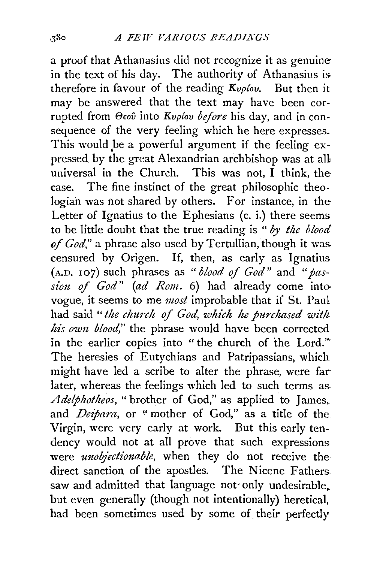a proof that Athanasius did not recognize it as genuine in the text of his day. The authority of Athanasius is. therefore in favour of the reading  $K_{\nu\rho}$ *iov*. But then it may be answered that the text may have been corrupted from *Bmv* into *Kvplov before* his day, and in consequence of the very feeling which he here expresses. This would be a powerful argument if the feeling expressed by the great Alexandrian archbishop was at all universal in the Church. This was not, I think, thecase. The fine instinct of the great philosophic theo· logiah was not shared by others. For instance, in the Letter of Ignatius to the Ephesians (c. i.) there seems to be little doubt that the true reading is " *by the blood of God,"* a phrase also used by Tertullian, though it was. censured by Origen. If, then, as early as Ignatius (A.D. 107) such phrases as *"blood* of *God"* and *"passi01t of God" (ad Rom.* 6) had already come into vogue, it seems to me *most* improbable that if St. Paul had said *"the church of God, which he purchased wit!t his own blood,"* the phrase would have been corrected in the earlier copies into " the church of the Lord."' The heresies of Eutychians and Patripassians, which might have led a scribe to alter the phrase, were far later, whereas the feelings which led to such terms as Adelphotheos, "brother of God," as applied to James, and *Deipara,* or "mother of God," as a title of the Virgin, were very early at work. But this early tendency would not at all prove that such expressions were *ttnobjectionable,* when they do not receive the direct sanction of the apostles. The Nicene Fathers saw and admitted that language not· only undesirable, but even generally (though not intentionally) heretical, had been sometimes used by some of their perfectly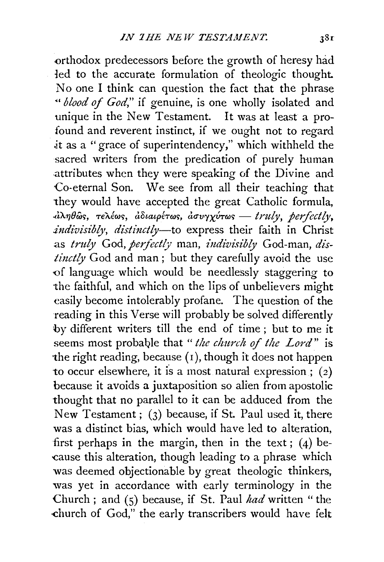orthodox predecessors before the growth of heresy had 1ed to the accurate formulation of theologic thought. No one I think can question the fact that the phrase "' *blood of God,"* if genuine, is one wholly isolated and unique in the New Testament. It was at least a profound and reverent instinct, if we ought not to regard it as a "grace of superintendency," which withheld the sacred writers from the predication of purely human attributes when they were speaking of the Divine and Co-eternal Son. We see from all their teaching that they would have accepted the great Catholic formula,  $d\lambda\eta\theta$ ως, τελέως, *άδιαιρέτως, ασυγχύτως — truly, perfectly*, *indivisibly, distinctly-to* express their faith in Christ as *truly* God, *perfectly* man, *indivisibly* God-man, *dis-* $\frac{tinctly}{God}$  and man; but they carefully avoid the use -of language which would be needlessly staggering to the faithful, and which on the lips of unbelievers might easily become intolerably profane. The question of the reading in this Verse will probably be solved differently by different writers till the end of time ; but to me it seems most probable that "*the church of the Lord*" is the right reading, because  $(1)$ , though it does not happen to occur elsewhere, it is a most natural expression;  $(2)$ because it avoids a juxtaposition so alien from apostolic thought that no parallel to it can be adduced from the New Testament; (3) because, if St. Paul used it, there was a distinct bias, which would have led to alteration, first perhaps in the margin, then in the text;  $(4)$  be--cause this alteration, though leading to a phrase which was deemed objectionable by great theologic thinkers, was yet in accordance with early terminology in the Church ; and (5) because, if St. Paul *had* written " the -church of God," the early transcribers would have felt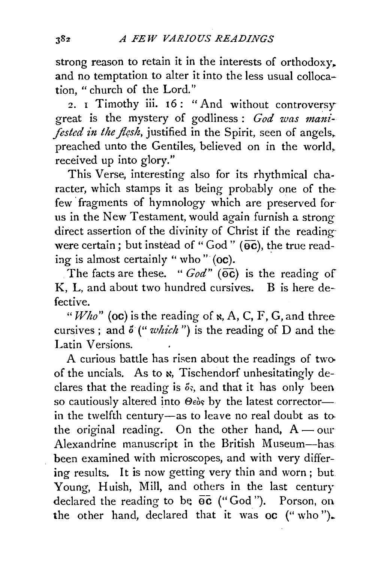strong reason to retain it in the interests of orthodoxy. and no temptation to alter it into the less usual collocation, " church of the Lord."

2. 1 Timothy iii. 16: "And without controversy great is the mystery of godliness : *God was manifested in the flesh*, justified in the Spirit, seen of angels, preached unto the Gentiles, believed on in the world,. received up into glory."

This Verse, interesting also for its rhythmical character, which stamps it as being probably one of thefew fragments of hymnology which are preserved for us in the New Testament, would again furnish a strong direct assertion of the divinity of Christ if the reading· were certain; but instead of "God" ( $\overline{oc}$ ), the true reading is almost certainly "who" (oc).

The facts are these. "  $God$ " ( $\overline{oc}$ ) is the reading of K, L, and about two hundred cursives. B is here defective.

"Who" (oc) is the reading of  $\kappa$ , A, C, F, G, and three cursives ; and  $\delta$  (" which") is the reading of D and the Latin Versions.

A curious battle has risen about the readings of twoof the uncials. As to  $\kappa$ , Tischendorf unhesitatingly declares that the reading is  $\delta s$ , and that it has only been. so cautiously altered into  $\Theta$ eòs by the latest corrector--in the twelfth century-as to leave no real doubt as tothe original reading. On the other hand,  $A$  - our Alexandrine manuscript in the British Museum-has been examined with microscopes, and with very differing results. It is now getting very thin and worn ; but Young, Huish, Mill, and others in the last century declared the reading to be  $\overline{oc}$  ("God"). Porson, on the other hand, declared that it was oc ("who").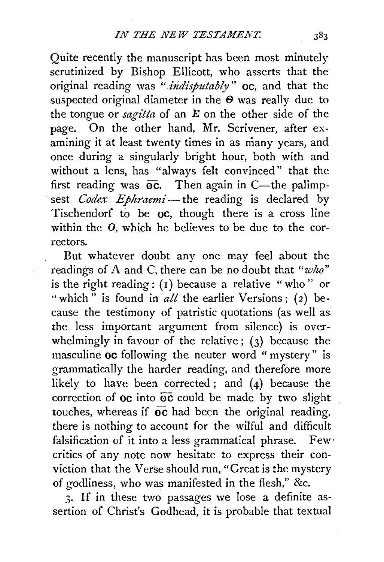Quite recently the manuscript has been most minutely scrutinized by Bishop Ellicott, who asserts that the original reading was "*indisputably*" **oc**, and that the suspected original diameter in the  $\Theta$  was really due to the tongue or *sagitta* of an E on the other side of the page. On the other hand, Mr. Scrivener, after examining it at least twenty times in as many years, and once during a singularly bright hour, both with and without a lens, has "always felt convinced" that the first reading was  $\overline{oc}$ . Then again in C-the palimpsest *Codex Ephraemi*—the reading is declared by Tischendorf to be oc, though there is a cross line within the 0, which he believes to be due to the correctors.

But whatever doubt any one may feel about the readings of A and C, there can be no doubt that *"who"*  is the right reading:  $(i)$  because a relative "who" or "which" is found in  $all$  the earlier Versions; (2) because the testimony of patristic quotations (as well as the less important argument from silence) is overwhelmingly in favour of the relative;  $(3)$  because the masculine oc following the neuter word " mystery" is grammatically the harder reading, and therefore more likely to have been corrected; and (4) because the correction of  $oc$  into  $oc$  could be made by two slight touches, whereas if  $\overline{oc}$  had been the original reading, there is nothing to account for the wilful and difficult falsification of it into a less grammatical phrase. Few $\cdot$ critics of any note now hesitate to express their conviction that the Verse should run, "Great is the mystery of godliness, who was manifested in the flesh," &c.

3· If in these two passages we lose a definite assertion of Christ's Godhead, it is probable that textual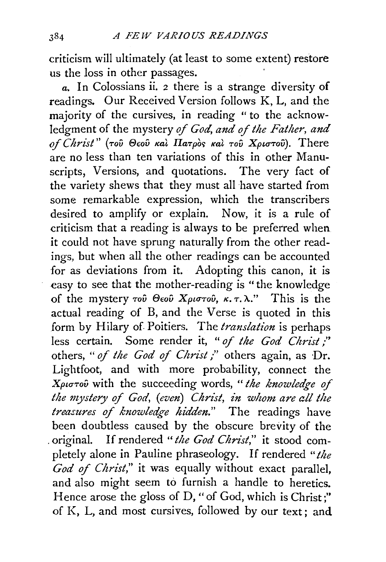criticism will ultimately (at least to some extent) restore us the loss in other passages.

*a.* In Colossians ii. *2* there is a strange diversity of readings. Our Received Version follows K, L, and the majority of the cursives, in reading "to the acknowledgment of the mystery *of God, and of the Father, and of Christ"* ( *TOU* e€oU *Kat IlaTpo<; Kat TOV Xpunov).* There are no less than ten variations of this in other Manuscripts, Versions, and quotations. The very fact of the variety shews that they must all have started from some remarkable expression, which the transcribers desired to amplify or explain. Now, it is a rule of criticism that a reading is always to be preferred when it could not have sprung naturally from the other readings, but when all the other readings can be accounted for as deviations from it. Adopting this canon, it is easy to see that the mother-reading is "the knowledge of the mystery *του* Θεού Χριστού, κ.τ.λ." This is the actual reading of B, and the Verse is quoted in this form by Hilary of Poitiers. The *translation* is perhaps less certain. Some render it, " of the God Christ;" others, *"of the God of Christ;"* others again, as Dr. Lightfoot, and with more probability, connect the *XptuTov* with the succeeding words, " *the knowledge of the mystery of God, (even) Christ, in whom are all the treasures of knowledge hidden."* The readings have been doubtless caused by the obscure brevity of the . original. If rendered *"the God Christ,"* it stood completely alone in Pauline phraseology. If rendered *"the God of Christ,"* it was equally without exact parallel, and also might seem to furnish a handle to heretics. Hence arose the gloss of D, "of God, which is Christ;" of K, L, and most cursives, followed by our text; and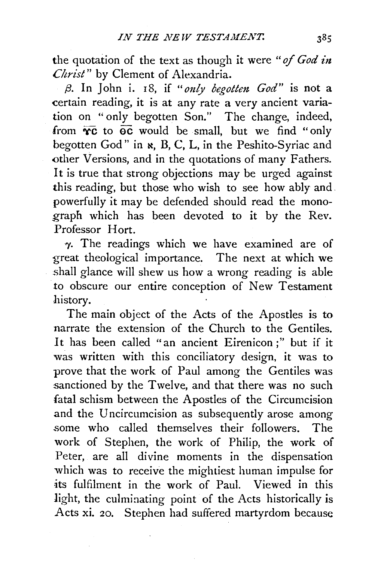the quotation of the text as though it were "of God in *Christ"* by Clement of Alexandria.

*(3.* In John i. 18, if *"only begotten God"* is not a certain reading, it is at any rate a very ancient variation on "only begotten Son." The change, indeed, from  $\overline{yc}$  to  $\overline{oc}$  would be small, but we find "only begotten God" in  $\kappa$ , B, C, L, in the Peshito-Syriac and other Versions, and in the quotations of many Fathers. It is true that strong objections may be urged against this reading, but those who wish to see how ably and. powerfully it may be defended should read the monograph which has been devoted to it by the Rev. Professor Hort.

*'Y·* The readings which we have examined are of great theological importance. The next at which we shall glance will shew us how a wrong reading is able to obscure our entire conception of New Testament history.

The main object of the Acts of the Apostles is to narrate the extension of the Church to the Gentiles. It has been called "an ancient Eirenicon ;" but if it was written with this conciliatory design, it was to prove that the work of Paul among the Gentiles was sanctioned by the Twelve, and that there was no such fatal schism between the Apostles of the Circumcision and the Uncircumcision as subsequently arose among some who called themselves their followers. The work of Stephen, the work of Philip, the work of Peter, are all divine moments in the dispensation which was to receive the mightiest human impulse for its fulfilment in the work of Paul. Viewed in this light, the culminating point of the Acts historically is Acts xi. 20. Stephen had suffered martyrdom because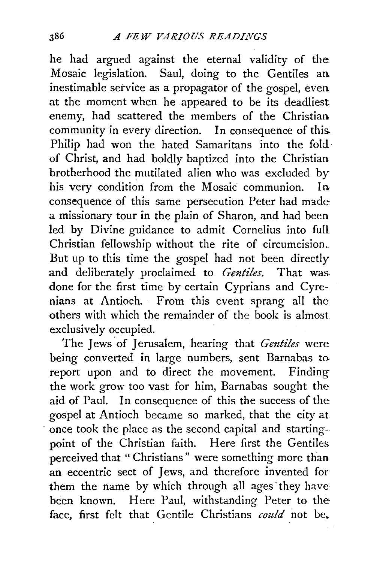he had argued against the eternal validity of the Mosaic legislation. Saul, doing to the Gentiles an inestimable service as a propagator of the gospel, even at the moment when he appeared to be its deadliest enemy, had scattered the members of the Christian community in every direction. In consequence of this. Philip had won the hated Samaritans into the fold· of Christ, and had boldly baptized into the Christian brotherhood the mutilated alien who was excluded by his very condition from the Mosaic communion. In. consequence of this same persecution Peter had made a missionary tour in the plain of Sharon, and had been led by Divine guidance to admit Cornelius into full Christian fellowship without the rite of circumcision.\_ But up to this time the gospel had not been directly and deliberately proclaimed to *Gentiles*. That was done for the first time by certain Cyprians and Cyrenians at Antioch. From this event sprang all the others with which the remainder of the book is almost exclusively occupied.

The Jews of Jerusalem, hearing that *Gentiles* were being converted in large numbers, sent Barnabas to report upon and to direct the movement. Finding the work grow too vast for him, Barnabas sought the aid of Paul. In consequence of this the success of the gospel at Antioch became so marked, that the city at once took the place as the second capital and startingpoint of the Christian faith. Here first the Gentiles perceived that "Christians" were something more than an eccentric sect of Jews, and therefore invented for them the name by which through all ages 'they have been known. Here Paul, withstanding Peter to the face, first felt that Gentile Christians *could* not be,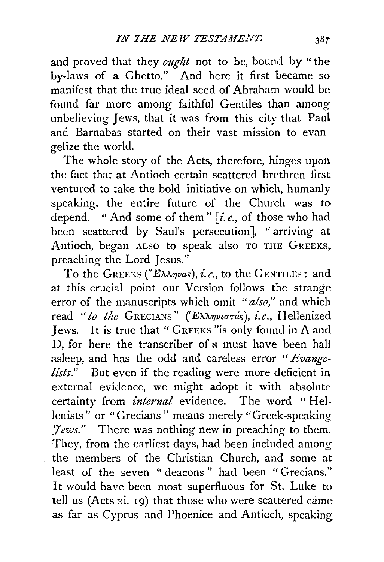and proved that they *ought* not to be, bound by " the by-laws of a Ghetto." And here it first became somanifest that the true ideal seed of Abraham would be found far more among faithful Gentiles than among unbelieving Jews, that it was from this city that Paul and Barnabas started on their vast mission to evangelize the world.

The whole story of the Acts, therefore, hinges upon the fact that at Antioch certain scattered brethren first ventured to take the bold initiative on which, humanly speaking, the entire future of the Church was to depend. "And some of them" *[i.e.,* of those who had been scattered by Saul's persecution], "arriving at Antioch, began ALSO to speak also TO THE GREEKS, preaching the Lord Jesus."

To the GREEKS ("E $\lambda \lambda \eta \nu a s$ ), *i.e.*, to the GENTILES: and at this crucial point our Version follows the strange error of the manuscripts which omit *"also,"* and which read "to the GRECIANS" (Έλληνιστάς), i.e., Hellenized Jews. It is true that " GREEKS "is only found in A and D, for here the transcriber of  $\boldsymbol{*}$  must have been halt asleep, and has the odd and careless error *"Evangelists."* But even if the reading were more deficient in external evidence, we might adopt it with absolute certainty from *internal* evidence. The word " Hellenists" or "Grecians" means merely "Greek-speaking *Jews.*" There was nothing new in preaching to them. They, from the earliest days, had been included among the members of the Christian Church, and some at least of the seven "deacons" had been "Grecians." It would have been most superfluous for St. Luke to tell us (Acts xi. 19) that those who were scattered came as far as Cyprus and Phoenice and Antioch, speaking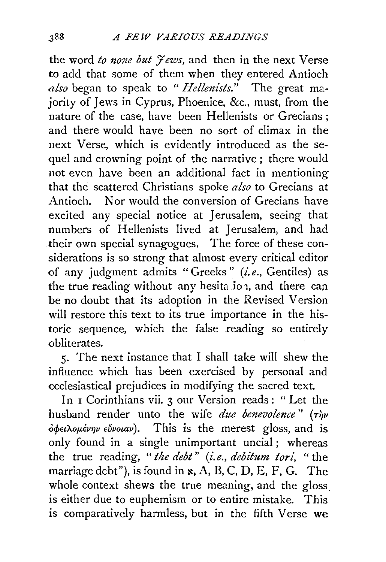the word *to none but 7 ews,* and then in the next Verse to add that some of them when they entered Antioch *also* began to speak to *"Hellenists."* The great majority of Jews in Cyprus, Phoenice, &c., must, from the nature of the case, have been Hellenists or Grecians; and there would have been no sort of climax in the next Verse, which is evidently introduced as the sequel and crowning point of the narrative ; there would not even have been an additional fact in mentioning that the scattered Christians spoke *also* to Grecians at Antioch. Nor would the conversion of Grecians have excited any special notice at *1* erusalem, seeing that numbers of Hellenists lived at Jerusalem, and had their own special synagogues. The force of these considerations is so strong that almost every critical editor of any judgment admits "Greeks" (i.e., Gentiles) as the true reading without any hesita ion, and there can be no doubt that its adoption in the Revised Version will restore this text to its true importance in the historic sequence, which the false reading so entirely obliterates.

5· The next instance that I shall take will shew the influence which has been exercised by personal and ecclesiastical prejudices in modifying the sacred text.

In 1 Corinthians vii. 3 our Version reads: "Let the husband render unto the wife *due benevolence*" ( $\tau$ *i*)v  $\delta \phi \epsilon \lambda \omega \mu \epsilon \nu \eta \nu \epsilon \nu \nu \omega \nu$ ). This is the merest gloss, and is only found in a single unimportant uncial; whereas the true reading, " *the debt* " *(i.e., debitum, tori,* " the marriage debt"), is found in  $\kappa$ , A, B, C, D, E, F, G. The whole context shews the true meaning, and the gloss is either due to euphemism or to entire mistake. This *is* comparatively harmless, but in the fifth Verse we

388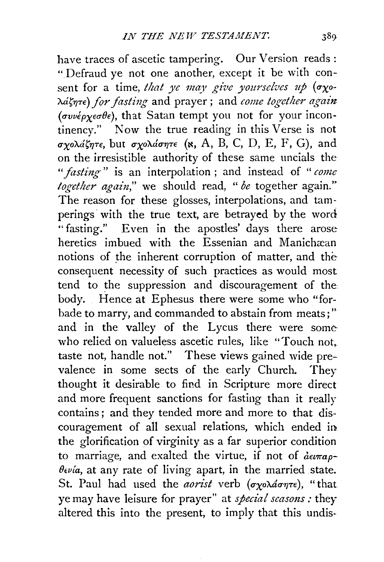have traces of ascetic tampering. Our Version reads : "Defraud ye not one another, except it be with consent for a time, *that ye may give yourselves up* ( $\sigma \chi$ oλάζητε) *for fasting* and prayer; and *come together again (uvv€pxea-Bt:),* that Satan tempt you not for your incontinency." Now the true reading in this Verse is not *σχολάζητε*, but *σχολάσητε* (x, A, B, C, D, E, F, G), and on the irresistible authority of these same uncials the *"fasting"* is an interpolation ; and instead of *"come together again*," we should read, "*be* together again." The reason for these glosses, interpolations, and tamperings with the true text, are betrayed by the word "fasting." Even in the apostles' days there arose heretics imbued with the Essenian and Manichæan notions of the inherent corruption of matter, and the consequent necessity of such practices as would most tend to the suppression and discouragement of the body. Hence at Ephesus there were some who "forbade to marry, and commanded to abstain from meats;" and in the valley of the Lycus there were somewho relied on valueless ascetic rules, like "Touch not. taste not, handle not." These views gained wide prevalence in some sects of the early Church. They thought it desirable to find in Scripture more direct and more frequent sanctions for fasting than it really contains ; and they tended more and more to that discouragement of all sexual relations, which ended in the glorification of virginity as a far superior condition to marriage, and exalted the virtue, if not of  $\partial u \pi a \rho$ -*Bcvla,* at any rate of living apart, in the married state. St. Paul had used the *aorist* verb ( $\sigma$ *yo* $\lambda$ *don* $\tau$ *e*), "that: ye may have leisure for prayer" at *special seasons* : they altered this into the present, to imply that this undis-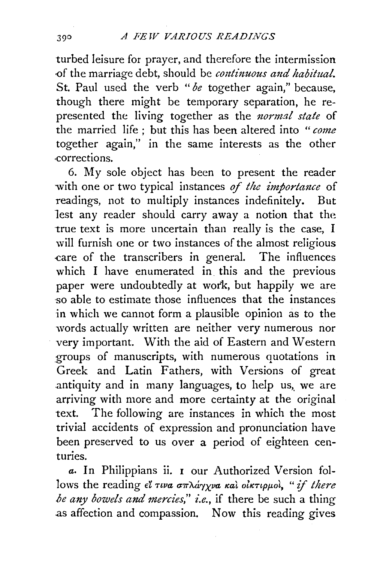turbed leisure for prayer, and therefore the intermission of the marriage debt, should be *continuous and habitual*. St. Paul used the verb *"be* together again," because, though there might be temporary separation, he represented the living together as the *normal state* of the married life ; but this has been altered into *"come*  together again," in the same interests as the other .corrections.

6. My sole object has been to present the reader with one or two typical instances of the *importance* of readings, not to multiply instances indefinitely. But lest any reader should carry away a notion that the true text is more uncertain than really is the case, I will furnish one or two instances of the almost religious -care of the transcribers in general. The influences which I have enumerated in this and the previous paper were undoubtedly at work, but happily we are so able to estimate those influences that the instances in which we cannot form a plausible opinion as to the words actually written are neither very numerous nor very important. With the aid of Eastern and Western groups of manuscripts, with numerous quotations in Greek and Latin Fathers, with Versions of great antiquity and in many languages, to help us, we are arriving with more and more certainty at the original text. The following are instances in which the most trivial accidents of expression and pronunciation have been preserved to us over a period of eighteen centuries.

*a.* In Philippians ii. 1 our Authorized Version follows the reading εί τινα σπλάγχνα και οικτιρμοι, "if there *be any bowels and mercies," i.e.,* if there be such a thing .as affection and compassion. Now this reading gives

390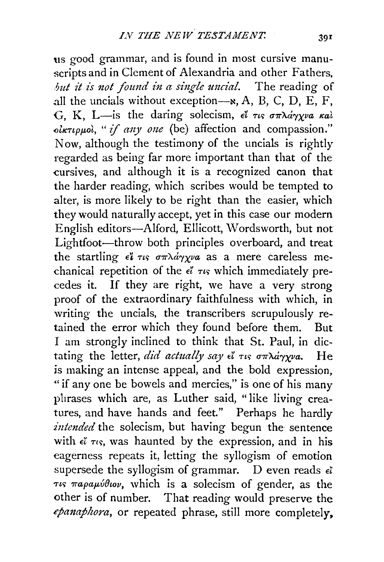us good grammar, and is found in most cursive manuscripts and in Clement of Alexandria and other Fathers, *but it is not found in a single uncial.* The reading of all the uncials without exception- $\infty$ , A, B, C, D, E, F, G, K, L-is the daring solecism,  $e^i$   $\tau$ us  $\sigma \pi \lambda a \gamma \gamma \nu a \kappa a \lambda$  $\delta$ *iktippoi*, "*if any one* (be) affection and compassion." Now, although the testimony of the uncials is rightly regarded as being far more important than that of the cursives, and although it is a recognized canon that the harder reading, which scribes would be tempted to alter, is more likely to be right than the easier, which they would naturally accept, yet in this case our modern English editors-Alford, Ellicott, Wordsworth, but not Lightfoot-throw both principles overboard, and treat the startling  $\epsilon \ell \tau \nu s \sigma \pi \lambda \dot{\alpha} \gamma \chi \nu a$  as a mere careless mechanical repetition of the  $\epsilon^{\gamma}$   $\tau$  which immediately precedes it. If they are right, we have a very strong proof of the extraordinary faithfulness with which, in writing the uncials, the transcribers scrupulously retained the error which they found before them. But I am strongly inclined to think that St. Paul, in dictating the letter, *did actually say ε*" τις σπλάγχνα. He is making an intense appeal, and the bold expression, «if any one be bowels and mercies," is one of his many phrases which are, as Luther said, "like living creatures, and have hands and feet." Perhaps he hardly *intended* the solecism, but having begun the sentence with  $\epsilon^{\gamma}$   $\tau$ ts, was haunted by the expression, and in his eagerness repeats it, letting the syllogism of emotion supersede the syllogism of grammar. D even reads  $\epsilon$ <sup>z</sup>  $\tau$ *is*  $\pi a \rho a \mu \hat{\nu} \theta$ *iov*, which is a solecism of gender, as the other is of number. That reading would preserve the *cpmzajhora,* or repeated phrase, still more completely.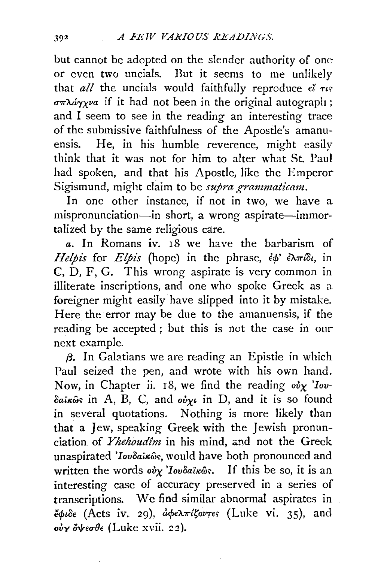but cannot be adopted on the slender authority of one or even two uncials. But it seems to me unlikely that  $all$  the uncials would faithfully reproduce  $\epsilon^{\gamma}$   $\tau$  $q\pi\lambda \omega \gamma y\omega$  if it had not been in the original autograph; and I seem to see in the reading an interesting trace of the submissive faithfulness of the Apostle's amanuensis. He, in his humble reverence, might easily think that it was not for him to alter what St. Paul had spoken, and that his Apostle, like the Emperor Sigismund, might claim to be *supra grammaticam*.

In one other instance, if not in two, we have a mispronunciation-in short, a wrong aspirate-immortalized by the same religious care.

*a.* In Romans iv. 18 we have the barbarism of *Helpis* for *Elpis* (hope) in the phrase,  $\partial \phi' \partial \ln \partial \phi$ , in C, D, F, G. This wrong aspirate is very common in illiterate inscriptions, and one who spoke Greek as a foreigner might easily have slipped into it by mistake. Here the error may be due to the amanuensis, if the reading be accepted ; but this is not the case in our next example.

*{3.* In Galatians we are reading an Epistle in which Paul seized the pen, and wrote with his own hand. Now, in Chapter ii. 18, we find the reading  $\partial y \partial y$  *lov-* $\delta a\vec{k}\hat{\omega}s$  in A, B, C, and  $o\vec{k}\gamma\vec{k}$  in D, and it is so found in several quotations. Nothing is more likely than that a Jew, speaking Greek with the Jewish pronunciation of *Yhehoudîm* in his mind, and not the Greek unaspirated 'Iovoaikoos, would have both pronounced and written the words  $\omega_Y$ '*Iovoaikos*. If this be so, it is an interesting case of accuracy preserved in a series of transcriptions. We find similar abnormal aspirates in ~cj>toe (Acts iv. 29), *acf>e"A7rttovTe'>* (Luke vi. 35), and o*iγ όψεσθε* (Luke xvii. 22).

302